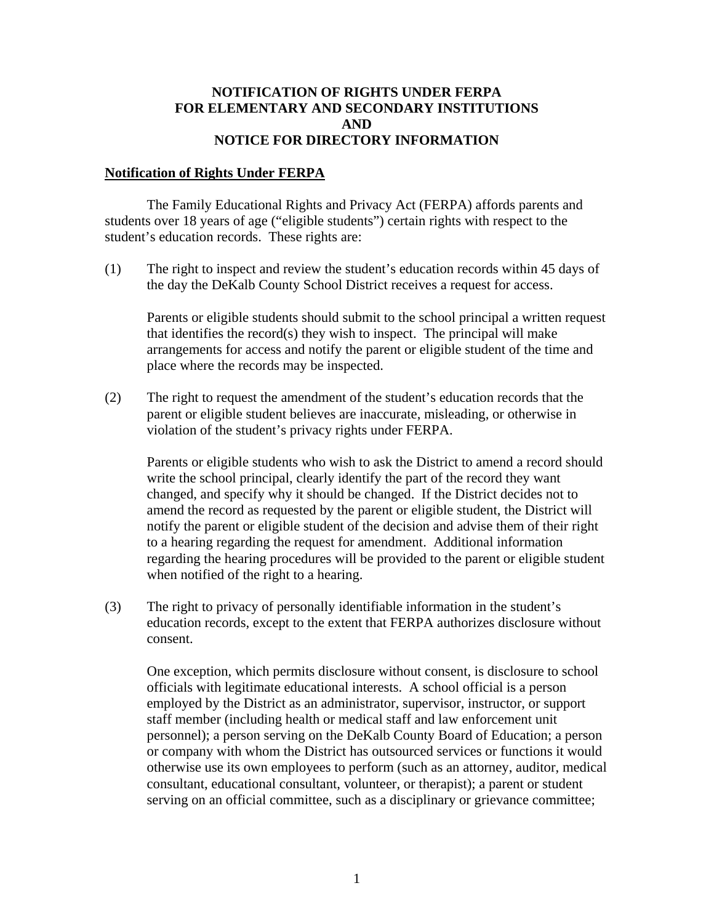## **NOTIFICATION OF RIGHTS UNDER FERPA FOR ELEMENTARY AND SECONDARY INSTITUTIONS AND NOTICE FOR DIRECTORY INFORMATION**

## **Notification of Rights Under FERPA**

The Family Educational Rights and Privacy Act (FERPA) affords parents and students over 18 years of age ("eligible students") certain rights with respect to the student's education records. These rights are:

(1) The right to inspect and review the student's education records within 45 days of the day the DeKalb County School District receives a request for access.

Parents or eligible students should submit to the school principal a written request that identifies the record(s) they wish to inspect. The principal will make arrangements for access and notify the parent or eligible student of the time and place where the records may be inspected.

(2) The right to request the amendment of the student's education records that the parent or eligible student believes are inaccurate, misleading, or otherwise in violation of the student's privacy rights under FERPA.

Parents or eligible students who wish to ask the District to amend a record should write the school principal, clearly identify the part of the record they want changed, and specify why it should be changed. If the District decides not to amend the record as requested by the parent or eligible student, the District will notify the parent or eligible student of the decision and advise them of their right to a hearing regarding the request for amendment. Additional information regarding the hearing procedures will be provided to the parent or eligible student when notified of the right to a hearing.

(3) The right to privacy of personally identifiable information in the student's education records, except to the extent that FERPA authorizes disclosure without consent.

One exception, which permits disclosure without consent, is disclosure to school officials with legitimate educational interests. A school official is a person employed by the District as an administrator, supervisor, instructor, or support staff member (including health or medical staff and law enforcement unit personnel); a person serving on the DeKalb County Board of Education; a person or company with whom the District has outsourced services or functions it would otherwise use its own employees to perform (such as an attorney, auditor, medical consultant, educational consultant, volunteer, or therapist); a parent or student serving on an official committee, such as a disciplinary or grievance committee;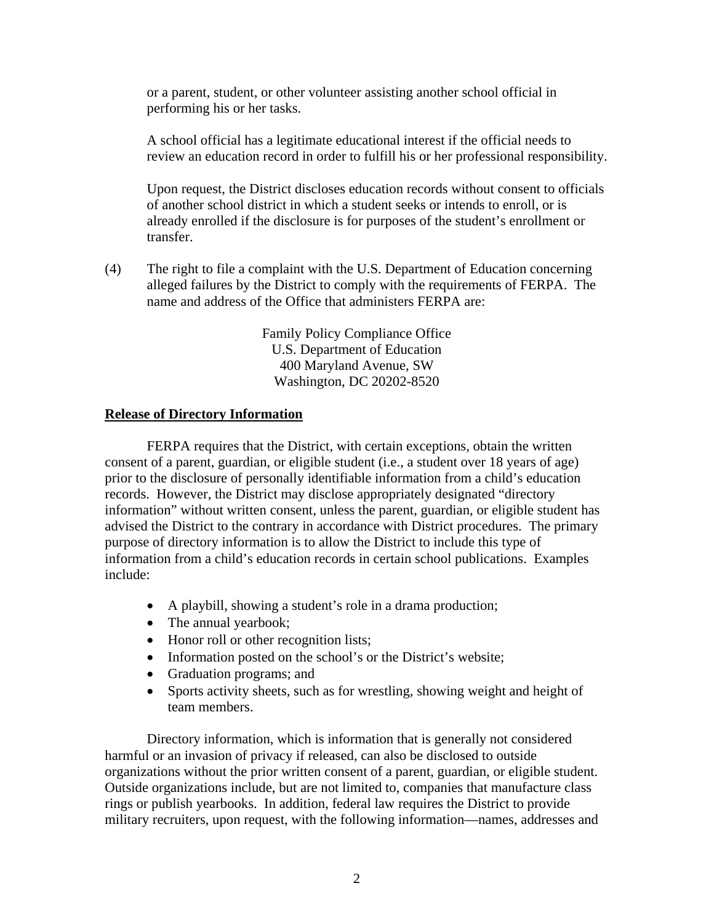or a parent, student, or other volunteer assisting another school official in performing his or her tasks.

A school official has a legitimate educational interest if the official needs to review an education record in order to fulfill his or her professional responsibility.

Upon request, the District discloses education records without consent to officials of another school district in which a student seeks or intends to enroll, or is already enrolled if the disclosure is for purposes of the student's enrollment or transfer.

(4) The right to file a complaint with the U.S. Department of Education concerning alleged failures by the District to comply with the requirements of FERPA. The name and address of the Office that administers FERPA are:

> Family Policy Compliance Office U.S. Department of Education 400 Maryland Avenue, SW Washington, DC 20202-8520

## **Release of Directory Information**

FERPA requires that the District, with certain exceptions, obtain the written consent of a parent, guardian, or eligible student (i.e., a student over 18 years of age) prior to the disclosure of personally identifiable information from a child's education records. However, the District may disclose appropriately designated "directory information" without written consent, unless the parent, guardian, or eligible student has advised the District to the contrary in accordance with District procedures. The primary purpose of directory information is to allow the District to include this type of information from a child's education records in certain school publications. Examples include:

- A playbill, showing a student's role in a drama production;
- The annual yearbook;
- Honor roll or other recognition lists;
- Information posted on the school's or the District's website;
- Graduation programs; and
- Sports activity sheets, such as for wrestling, showing weight and height of team members.

Directory information, which is information that is generally not considered harmful or an invasion of privacy if released, can also be disclosed to outside organizations without the prior written consent of a parent, guardian, or eligible student. Outside organizations include, but are not limited to, companies that manufacture class rings or publish yearbooks. In addition, federal law requires the District to provide military recruiters, upon request, with the following information—names, addresses and